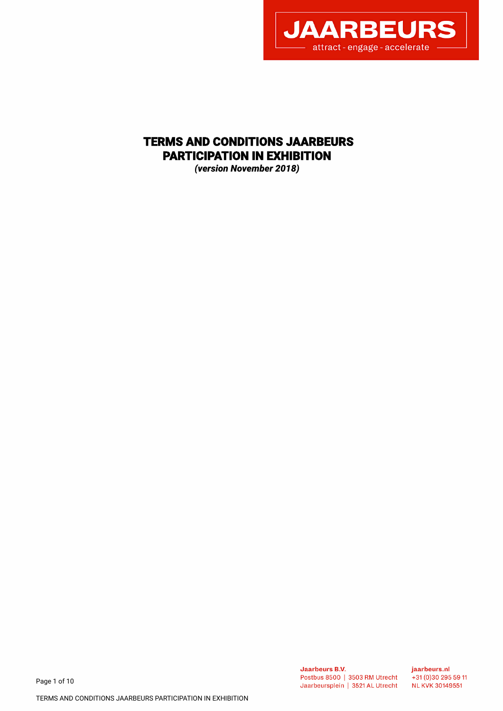

# TERMS AND CONDITIONS JAARBEURS PARTICIPATION IN EXHIBITION

*(version November 2018)*

Page 1 of 10

jaarbeurs.nl  $+31(0)302955911$ **NL KVK 30149551**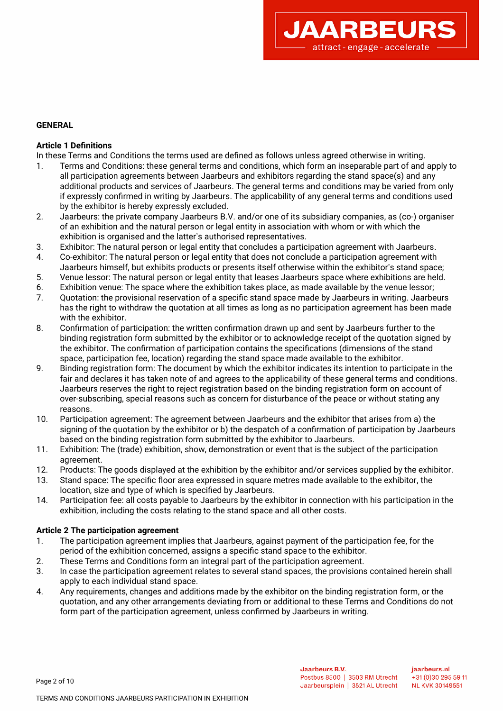

## **GENERAL**

## **Article 1 Defnitions**

In these Terms and Conditions the terms used are defned as follows unless agreed otherwise in writing.

- 1. Terms and Conditions: these general terms and conditions, which form an inseparable part of and apply to all participation agreements between Jaarbeurs and exhibitors regarding the stand space(s) and any additional products and services of Jaarbeurs. The general terms and conditions may be varied from only if expressly confrmed in writing by Jaarbeurs. The applicability of any general terms and conditions used by the exhibitor is hereby expressly excluded.
- 2. Jaarbeurs: the private company Jaarbeurs B.V. and/or one of its subsidiary companies, as (co-) organiser of an exhibition and the natural person or legal entity in association with whom or with which the exhibition is organised and the latter's authorised representatives.
- 3. Exhibitor: The natural person or legal entity that concludes a participation agreement with Jaarbeurs.
- 4. Co-exhibitor: The natural person or legal entity that does not conclude a participation agreement with Jaarbeurs himself, but exhibits products or presents itself otherwise within the exhibitor's stand space;
- 5. Venue lessor: The natural person or legal entity that leases Jaarbeurs space where exhibitions are held.
- 6. Exhibition venue: The space where the exhibition takes place, as made available by the venue lessor;
- 7. Quotation: the provisional reservation of a specifc stand space made by Jaarbeurs in writing. Jaarbeurs has the right to withdraw the quotation at all times as long as no participation agreement has been made with the exhibitor.
- 8. Confrmation of participation: the written confrmation drawn up and sent by Jaarbeurs further to the binding registration form submitted by the exhibitor or to acknowledge receipt of the quotation signed by the exhibitor. The confrmation of participation contains the specifcations (dimensions of the stand space, participation fee, location) regarding the stand space made available to the exhibitor.
- 9. Binding registration form: The document by which the exhibitor indicates its intention to participate in the fair and declares it has taken note of and agrees to the applicability of these general terms and conditions. Jaarbeurs reserves the right to reject registration based on the binding registration form on account of over-subscribing, special reasons such as concern for disturbance of the peace or without stating any reasons.
- 10. Participation agreement: The agreement between Jaarbeurs and the exhibitor that arises from a) the signing of the quotation by the exhibitor or b) the despatch of a confrmation of participation by Jaarbeurs based on the binding registration form submitted by the exhibitor to Jaarbeurs.
- 11. Exhibition: The (trade) exhibition, show, demonstration or event that is the subject of the participation agreement.
- 12. Products: The goods displayed at the exhibition by the exhibitor and/or services supplied by the exhibitor.
- 13. Stand space: The specifc foor area expressed in square metres made available to the exhibitor, the location, size and type of which is specifed by Jaarbeurs.
- 14. Participation fee: all costs payable to Jaarbeurs by the exhibitor in connection with his participation in the exhibition, including the costs relating to the stand space and all other costs.

## **Article 2 The participation agreement**

- 1. The participation agreement implies that Jaarbeurs, against payment of the participation fee, for the period of the exhibition concerned, assigns a specifc stand space to the exhibitor.
- 2. These Terms and Conditions form an integral part of the participation agreement.
- 3. In case the participation agreement relates to several stand spaces, the provisions contained herein shall apply to each individual stand space.
- 4. Any requirements, changes and additions made by the exhibitor on the binding registration form, or the quotation, and any other arrangements deviating from or additional to these Terms and Conditions do not form part of the participation agreement, unless confrmed by Jaarbeurs in writing.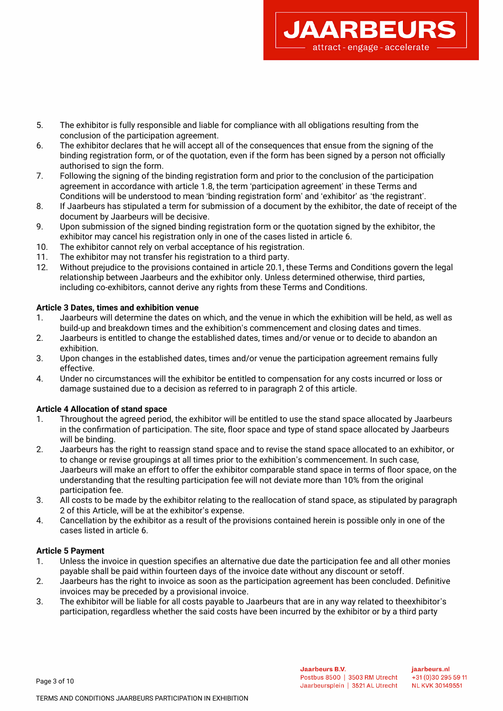

- 6. The exhibitor declares that he will accept all of the consequences that ensue from the signing of the binding registration form, or of the quotation, even if the form has been signed by a person not officially authorised to sign the form.
- 7. Following the signing of the binding registration form and prior to the conclusion of the participation agreement in accordance with article 1.8, the term 'participation agreement' in these Terms and Conditions will be understood to mean 'binding registration form' and 'exhibitor' as 'the registrant'.
- 8. If Jaarbeurs has stipulated a term for submission of a document by the exhibitor, the date of receipt of the document by Jaarbeurs will be decisive.
- 9. Upon submission of the signed binding registration form or the quotation signed by the exhibitor, the exhibitor may cancel his registration only in one of the cases listed in article 6.
- 10. The exhibitor cannot rely on verbal acceptance of his registration.
- 11. The exhibitor may not transfer his registration to a third party.
- 12. Without prejudice to the provisions contained in article 20.1, these Terms and Conditions govern the legal relationship between Jaarbeurs and the exhibitor only. Unless determined otherwise, third parties, including co-exhibitors, cannot derive any rights from these Terms and Conditions.

#### **Article 3 Dates, times and exhibition venue**

- 1. Jaarbeurs will determine the dates on which, and the venue in which the exhibition will be held, as well as build-up and breakdown times and the exhibition's commencement and closing dates and times.
- 2. Jaarbeurs is entitled to change the established dates, times and/or venue or to decide to abandon an exhibition.
- 3. Upon changes in the established dates, times and/or venue the participation agreement remains fully effective.
- 4. Under no circumstances will the exhibitor be entitled to compensation for any costs incurred or loss or damage sustained due to a decision as referred to in paragraph 2 of this article.

#### **Article 4 Allocation of stand space**

- 1. Throughout the agreed period, the exhibitor will be entitled to use the stand space allocated by Jaarbeurs in the confirmation of participation. The site, floor space and type of stand space allocated by Jaarbeurs will be binding.
- 2. Jaarbeurs has the right to reassign stand space and to revise the stand space allocated to an exhibitor, or to change or revise groupings at all times prior to the exhibition's commencement. In such case, Jaarbeurs will make an effort to offer the exhibitor comparable stand space in terms of foor space, on the understanding that the resulting participation fee will not deviate more than 10% from the original participation fee.
- 3. All costs to be made by the exhibitor relating to the reallocation of stand space, as stipulated by paragraph 2 of this Article, will be at the exhibitor's expense.
- 4. Cancellation by the exhibitor as a result of the provisions contained herein is possible only in one of the cases listed in article 6.

#### **Article 5 Payment**

- 1. Unless the invoice in question specifes an alternative due date the participation fee and all other monies payable shall be paid within fourteen days of the invoice date without any discount or setoff.
- 2. Jaarbeurs has the right to invoice as soon as the participation agreement has been concluded. Defnitive invoices may be preceded by a provisional invoice.
- 3. The exhibitor will be liable for all costs payable to Jaarbeurs that are in any way related to theexhibitor's participation, regardless whether the said costs have been incurred by the exhibitor or by a third party

**JAARBEUR** 

attract - engage - accelerate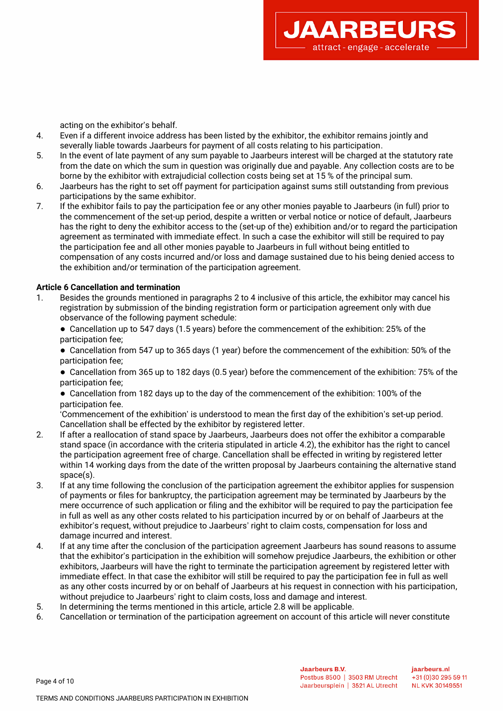

acting on the exhibitor's behalf.

- 4. Even if a different invoice address has been listed by the exhibitor, the exhibitor remains jointly and severally liable towards Jaarbeurs for payment of all costs relating to his participation.
- 5. In the event of late payment of any sum payable to Jaarbeurs interest will be charged at the statutory rate from the date on which the sum in question was originally due and payable. Any collection costs are to be borne by the exhibitor with extrajudicial collection costs being set at 15 % of the principal sum.
- 6. Jaarbeurs has the right to set off payment for participation against sums still outstanding from previous participations by the same exhibitor.
- 7. If the exhibitor fails to pay the participation fee or any other monies payable to Jaarbeurs (in full) prior to the commencement of the set-up period, despite a written or verbal notice or notice of default, Jaarbeurs has the right to deny the exhibitor access to the (set-up of the) exhibition and/or to regard the participation agreement as terminated with immediate effect. In such a case the exhibitor will still be required to pay the participation fee and all other monies payable to Jaarbeurs in full without being entitled to compensation of any costs incurred and/or loss and damage sustained due to his being denied access to the exhibition and/or termination of the participation agreement.

## **Article 6 Cancellation and termination**

- 1. Besides the grounds mentioned in paragraphs 2 to 4 inclusive of this article, the exhibitor may cancel his registration by submission of the binding registration form or participation agreement only with due observance of the following payment schedule:
	- Cancellation up to 547 days (1.5 years) before the commencement of the exhibition: 25% of the participation fee;

● Cancellation from 547 up to 365 days (1 year) before the commencement of the exhibition: 50% of the participation fee;

● Cancellation from 365 up to 182 days (0.5 year) before the commencement of the exhibition: 75% of the participation fee;

● Cancellation from 182 days up to the day of the commencement of the exhibition: 100% of the participation fee.

'Commencement of the exhibition' is understood to mean the frst day of the exhibition's set-up period. Cancellation shall be effected by the exhibitor by registered letter.

- 2. If after a reallocation of stand space by Jaarbeurs, Jaarbeurs does not offer the exhibitor a comparable stand space (in accordance with the criteria stipulated in article 4.2), the exhibitor has the right to cancel the participation agreement free of charge. Cancellation shall be effected in writing by registered letter within 14 working days from the date of the written proposal by Jaarbeurs containing the alternative stand space(s).
- 3. If at any time following the conclusion of the participation agreement the exhibitor applies for suspension of payments or fles for bankruptcy, the participation agreement may be terminated by Jaarbeurs by the mere occurrence of such application or fling and the exhibitor will be required to pay the participation fee in full as well as any other costs related to his participation incurred by or on behalf of Jaarbeurs at the exhibitor's request, without prejudice to Jaarbeurs' right to claim costs, compensation for loss and damage incurred and interest.
- 4. If at any time after the conclusion of the participation agreement Jaarbeurs has sound reasons to assume that the exhibitor's participation in the exhibition will somehow prejudice Jaarbeurs, the exhibition or other exhibitors, Jaarbeurs will have the right to terminate the participation agreement by registered letter with immediate effect. In that case the exhibitor will still be required to pay the participation fee in full as well as any other costs incurred by or on behalf of Jaarbeurs at his request in connection with his participation, without prejudice to Jaarbeurs' right to claim costs, loss and damage and interest.
- 5. In determining the terms mentioned in this article, article 2.8 will be applicable.
- 6. Cancellation or termination of the participation agreement on account of this article will never constitute

Page 4 of 10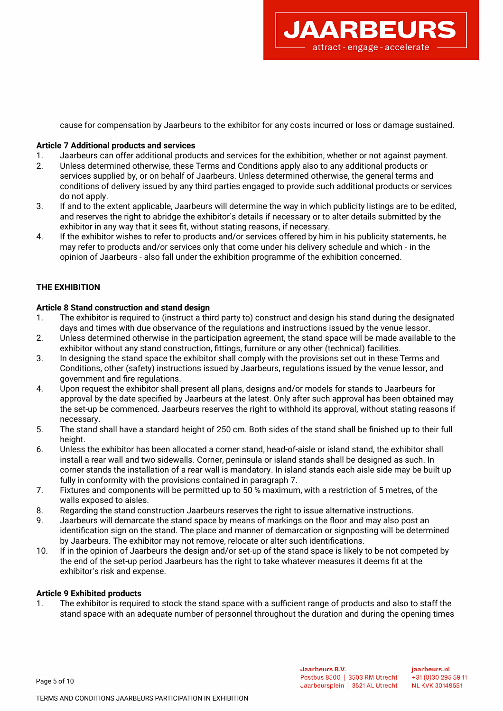

cause for compensation by Jaarbeurs to the exhibitor for any costs incurred or loss or damage sustained.

#### **Article 7 Additional products and services**

- 1. Jaarbeurs can offer additional products and services for the exhibition, whether or not against payment.
- 2. Unless determined otherwise, these Terms and Conditions apply also to any additional products or services supplied by, or on behalf of Jaarbeurs. Unless determined otherwise, the general terms and conditions of delivery issued by any third parties engaged to provide such additional products or services do not apply.
- 3. If and to the extent applicable, Jaarbeurs will determine the way in which publicity listings are to be edited, and reserves the right to abridge the exhibitor's details if necessary or to alter details submitted by the exhibitor in any way that it sees ft, without stating reasons, if necessary.
- 4. If the exhibitor wishes to refer to products and/or services offered by him in his publicity statements, he may refer to products and/or services only that come under his delivery schedule and which - in the opinion of Jaarbeurs - also fall under the exhibition programme of the exhibition concerned.

## **THE EXHIBITION**

#### **Article 8 Stand construction and stand design**

- 1. The exhibitor is required to (instruct a third party to) construct and design his stand during the designated days and times with due observance of the regulations and instructions issued by the venue lessor.
- 2. Unless determined otherwise in the participation agreement, the stand space will be made available to the exhibitor without any stand construction, fttings, furniture or any other (technical) facilities.
- 3. In designing the stand space the exhibitor shall comply with the provisions set out in these Terms and Conditions, other (safety) instructions issued by Jaarbeurs, regulations issued by the venue lessor, and government and fre regulations.
- 4. Upon request the exhibitor shall present all plans, designs and/or models for stands to Jaarbeurs for approval by the date specifed by Jaarbeurs at the latest. Only after such approval has been obtained may the set-up be commenced. Jaarbeurs reserves the right to withhold its approval, without stating reasons if necessary.
- 5. The stand shall have a standard height of 250 cm. Both sides of the stand shall be fnished up to their full height.
- 6. Unless the exhibitor has been allocated a corner stand, head-of-aisle or island stand, the exhibitor shall install a rear wall and two sidewalls. Corner, peninsula or island stands shall be designed as such. In corner stands the installation of a rear wall is mandatory. In island stands each aisle side may be built up fully in conformity with the provisions contained in paragraph 7.
- 7. Fixtures and components will be permitted up to 50 % maximum, with a restriction of 5 metres, of the walls exposed to aisles.
- 8. Regarding the stand construction Jaarbeurs reserves the right to issue alternative instructions.
- 9. Jaarbeurs will demarcate the stand space by means of markings on the foor and may also post an identifcation sign on the stand. The place and manner of demarcation or signposting will be determined by Jaarbeurs. The exhibitor may not remove, relocate or alter such identifcations.
- 10. If in the opinion of Jaarbeurs the design and/or set-up of the stand space is likely to be not competed by the end of the set-up period Jaarbeurs has the right to take whatever measures it deems ft at the exhibitor's risk and expense.

#### **Article 9 Exhibited products**

1. The exhibitor is required to stock the stand space with a sufficient range of products and also to staff the stand space with an adequate number of personnel throughout the duration and during the opening times

Page 5 of 10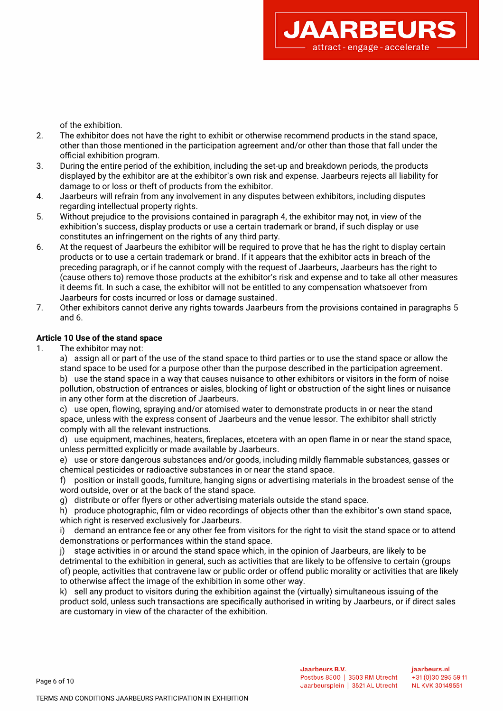of the exhibition.

- 2. The exhibitor does not have the right to exhibit or otherwise recommend products in the stand space, other than those mentioned in the participation agreement and/or other than those that fall under the official exhibition program.
- 3. During the entire period of the exhibition, including the set-up and breakdown periods, the products displayed by the exhibitor are at the exhibitor's own risk and expense. Jaarbeurs rejects all liability for damage to or loss or theft of products from the exhibitor.
- 4. Jaarbeurs will refrain from any involvement in any disputes between exhibitors, including disputes regarding intellectual property rights.
- 5. Without prejudice to the provisions contained in paragraph 4, the exhibitor may not, in view of the exhibition's success, display products or use a certain trademark or brand, if such display or use constitutes an infringement on the rights of any third party.
- 6. At the request of Jaarbeurs the exhibitor will be required to prove that he has the right to display certain products or to use a certain trademark or brand. If it appears that the exhibitor acts in breach of the preceding paragraph, or if he cannot comply with the request of Jaarbeurs, Jaarbeurs has the right to (cause others to) remove those products at the exhibitor's risk and expense and to take all other measures it deems ft. In such a case, the exhibitor will not be entitled to any compensation whatsoever from Jaarbeurs for costs incurred or loss or damage sustained.
- 7. Other exhibitors cannot derive any rights towards Jaarbeurs from the provisions contained in paragraphs 5 and 6.

## **Article 10 Use of the stand space**

1. The exhibitor may not:

a) assign all or part of the use of the stand space to third parties or to use the stand space or allow the stand space to be used for a purpose other than the purpose described in the participation agreement.

b) use the stand space in a way that causes nuisance to other exhibitors or visitors in the form of noise pollution, obstruction of entrances or aisles, blocking of light or obstruction of the sight lines or nuisance in any other form at the discretion of Jaarbeurs.

c) use open, fowing, spraying and/or atomised water to demonstrate products in or near the stand space, unless with the express consent of Jaarbeurs and the venue lessor. The exhibitor shall strictly comply with all the relevant instructions.

d) use equipment, machines, heaters, freplaces, etcetera with an open fame in or near the stand space, unless permitted explicitly or made available by Jaarbeurs.

e) use or store dangerous substances and/or goods, including mildly fammable substances, gasses or chemical pesticides or radioactive substances in or near the stand space.

f) position or install goods, furniture, hanging signs or advertising materials in the broadest sense of the word outside, over or at the back of the stand space.

g) distribute or offer fyers or other advertising materials outside the stand space.

h) produce photographic, flm or video recordings of objects other than the exhibitor's own stand space, which right is reserved exclusively for Jaarbeurs.

i) demand an entrance fee or any other fee from visitors for the right to visit the stand space or to attend demonstrations or performances within the stand space.

j) stage activities in or around the stand space which, in the opinion of Jaarbeurs, are likely to be detrimental to the exhibition in general, such as activities that are likely to be offensive to certain (groups of) people, activities that contravene law or public order or offend public morality or activities that are likely to otherwise affect the image of the exhibition in some other way.

k) sell any product to visitors during the exhibition against the (virtually) simultaneous issuing of the product sold, unless such transactions are specifcally authorised in writing by Jaarbeurs, or if direct sales are customary in view of the character of the exhibition.

**JAARBEUR** 

attract - engage - accelerate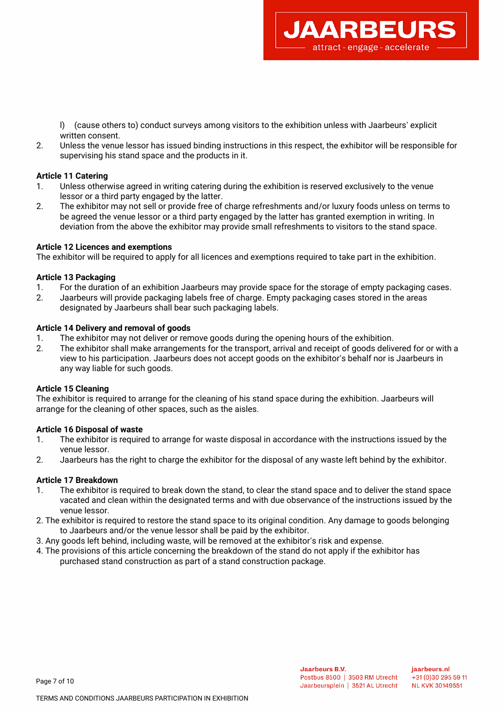l) (cause others to) conduct surveys among visitors to the exhibition unless with Jaarbeurs' explicit written consent.

**JAARBEUR** 

attract - engage - accelerate

2. Unless the venue lessor has issued binding instructions in this respect, the exhibitor will be responsible for supervising his stand space and the products in it.

## **Article 11 Catering**

- 1. Unless otherwise agreed in writing catering during the exhibition is reserved exclusively to the venue lessor or a third party engaged by the latter.
- 2. The exhibitor may not sell or provide free of charge refreshments and/or luxury foods unless on terms to be agreed the venue lessor or a third party engaged by the latter has granted exemption in writing. In deviation from the above the exhibitor may provide small refreshments to visitors to the stand space.

#### **Article 12 Licences and exemptions**

The exhibitor will be required to apply for all licences and exemptions required to take part in the exhibition.

#### **Article 13 Packaging**

- 1. For the duration of an exhibition Jaarbeurs may provide space for the storage of empty packaging cases.
- 2. Jaarbeurs will provide packaging labels free of charge. Empty packaging cases stored in the areas designated by Jaarbeurs shall bear such packaging labels.

## **Article 14 Delivery and removal of goods**

- 1. The exhibitor may not deliver or remove goods during the opening hours of the exhibition.
- 2. The exhibitor shall make arrangements for the transport, arrival and receipt of goods delivered for or with a view to his participation. Jaarbeurs does not accept goods on the exhibitor's behalf nor is Jaarbeurs in any way liable for such goods.

#### **Article 15 Cleaning**

The exhibitor is required to arrange for the cleaning of his stand space during the exhibition. Jaarbeurs will arrange for the cleaning of other spaces, such as the aisles.

## **Article 16 Disposal of waste**

- 1. The exhibitor is required to arrange for waste disposal in accordance with the instructions issued by the venue lessor.
- 2. Jaarbeurs has the right to charge the exhibitor for the disposal of any waste left behind by the exhibitor.

## **Article 17 Breakdown**

Page 7 of 10

- 1. The exhibitor is required to break down the stand, to clear the stand space and to deliver the stand space vacated and clean within the designated terms and with due observance of the instructions issued by the venue lessor.
- 2. The exhibitor is required to restore the stand space to its original condition. Any damage to goods belonging to Jaarbeurs and/or the venue lessor shall be paid by the exhibitor.
- 3. Any goods left behind, including waste, will be removed at the exhibitor's risk and expense.
- 4. The provisions of this article concerning the breakdown of the stand do not apply if the exhibitor has purchased stand construction as part of a stand construction package.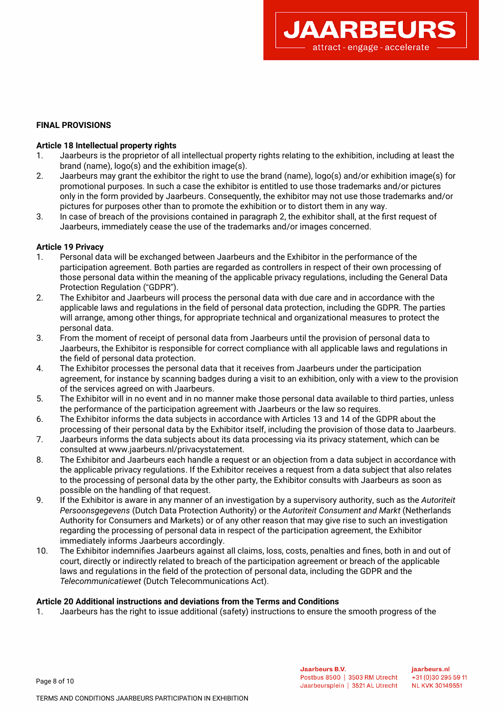

## **FINAL PROVISIONS**

#### **Article 18 Intellectual property rights**

- 1. Jaarbeurs is the proprietor of all intellectual property rights relating to the exhibition, including at least the brand (name), logo(s) and the exhibition image(s).
- 2. Jaarbeurs may grant the exhibitor the right to use the brand (name), logo(s) and/or exhibition image(s) for promotional purposes. In such a case the exhibitor is entitled to use those trademarks and/or pictures only in the form provided by Jaarbeurs. Consequently, the exhibitor may not use those trademarks and/or pictures for purposes other than to promote the exhibition or to distort them in any way.
- 3. In case of breach of the provisions contained in paragraph 2, the exhibitor shall, at the frst request of Jaarbeurs, immediately cease the use of the trademarks and/or images concerned.

#### **Article 19 Privacy**

- 1. Personal data will be exchanged between Jaarbeurs and the Exhibitor in the performance of the participation agreement. Both parties are regarded as controllers in respect of their own processing of those personal data within the meaning of the applicable privacy regulations, including the General Data Protection Regulation ("GDPR").
- 2. The Exhibitor and Jaarbeurs will process the personal data with due care and in accordance with the applicable laws and regulations in the feld of personal data protection, including the GDPR. The parties will arrange, among other things, for appropriate technical and organizational measures to protect the personal data.
- 3. From the moment of receipt of personal data from Jaarbeurs until the provision of personal data to Jaarbeurs, the Exhibitor is responsible for correct compliance with all applicable laws and regulations in the feld of personal data protection.
- 4. The Exhibitor processes the personal data that it receives from Jaarbeurs under the participation agreement, for instance by scanning badges during a visit to an exhibition, only with a view to the provision of the services agreed on with Jaarbeurs.
- 5. The Exhibitor will in no event and in no manner make those personal data available to third parties, unless the performance of the participation agreement with Jaarbeurs or the law so requires.
- 6. The Exhibitor informs the data subjects in accordance with Articles 13 and 14 of the GDPR about the processing of their personal data by the Exhibitor itself, including the provision of those data to Jaarbeurs.
- 7. Jaarbeurs informs the data subjects about its data processing via its privacy statement, which can be consulted at www.jaarbeurs.nl/privacystatement.
- 8. The Exhibitor and Jaarbeurs each handle a request or an objection from a data subject in accordance with the applicable privacy regulations. If the Exhibitor receives a request from a data subject that also relates to the processing of personal data by the other party, the Exhibitor consults with Jaarbeurs as soon as possible on the handling of that request.
- 9. If the Exhibitor is aware in any manner of an investigation by a supervisory authority, such as the *Autoriteit Persoonsgegevens* (Dutch Data Protection Authority) or the *Autoriteit Consument and Markt* (Netherlands Authority for Consumers and Markets) or of any other reason that may give rise to such an investigation regarding the processing of personal data in respect of the participation agreement, the Exhibitor immediately informs Jaarbeurs accordingly.
- 10. The Exhibitor indemnifes Jaarbeurs against all claims, loss, costs, penalties and fnes, both in and out of court, directly or indirectly related to breach of the participation agreement or breach of the applicable laws and regulations in the feld of the protection of personal data, including the GDPR and the *Telecommunicatiewet* (Dutch Telecommunications Act).

#### **Article 20 Additional instructions and deviations from the Terms and Conditions**

1. Jaarbeurs has the right to issue additional (safety) instructions to ensure the smooth progress of the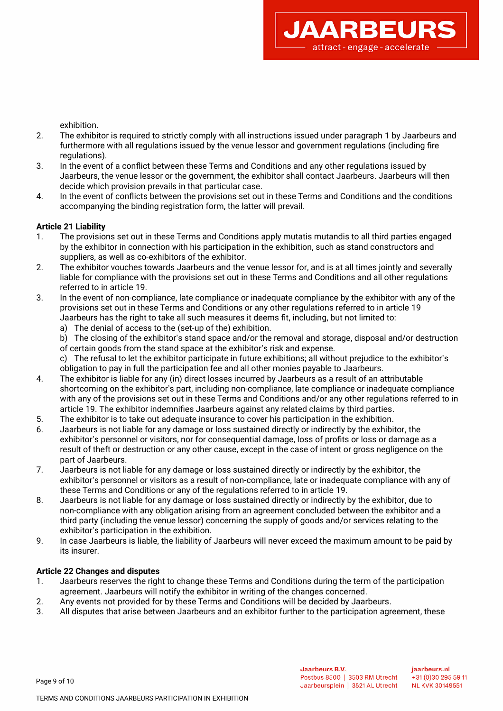exhibition.

2. The exhibitor is required to strictly comply with all instructions issued under paragraph 1 by Jaarbeurs and furthermore with all regulations issued by the venue lessor and government regulations (including fre regulations).

**JAARBEUR** 

attract - engage - accelerate

- 3. In the event of a confict between these Terms and Conditions and any other regulations issued by Jaarbeurs, the venue lessor or the government, the exhibitor shall contact Jaarbeurs. Jaarbeurs will then decide which provision prevails in that particular case.
- 4. In the event of conficts between the provisions set out in these Terms and Conditions and the conditions accompanying the binding registration form, the latter will prevail.

## **Article 21 Liability**

- 1. The provisions set out in these Terms and Conditions apply mutatis mutandis to all third parties engaged by the exhibitor in connection with his participation in the exhibition, such as stand constructors and suppliers, as well as co-exhibitors of the exhibitor.
- 2. The exhibitor vouches towards Jaarbeurs and the venue lessor for, and is at all times jointly and severally liable for compliance with the provisions set out in these Terms and Conditions and all other regulations referred to in article 19.
- 3. In the event of non-compliance, late compliance or inadequate compliance by the exhibitor with any of the provisions set out in these Terms and Conditions or any other regulations referred to in article 19 Jaarbeurs has the right to take all such measures it deems ft, including, but not limited to:
	- a) The denial of access to the (set-up of the) exhibition.
	- b) The closing of the exhibitor's stand space and/or the removal and storage, disposal and/or destruction of certain goods from the stand space at the exhibitor's risk and expense.
	- c) The refusal to let the exhibitor participate in future exhibitions; all without prejudice to the exhibitor's obligation to pay in full the participation fee and all other monies payable to Jaarbeurs.
- 4. The exhibitor is liable for any (in) direct losses incurred by Jaarbeurs as a result of an attributable shortcoming on the exhibitor's part, including non-compliance, late compliance or inadequate compliance with any of the provisions set out in these Terms and Conditions and/or any other regulations referred to in article 19. The exhibitor indemnifes Jaarbeurs against any related claims by third parties.
- 5. The exhibitor is to take out adequate insurance to cover his participation in the exhibition.
- 6. Jaarbeurs is not liable for any damage or loss sustained directly or indirectly by the exhibitor, the exhibitor's personnel or visitors, nor for consequential damage, loss of profts or loss or damage as a result of theft or destruction or any other cause, except in the case of intent or gross negligence on the part of Jaarbeurs.
- 7. Jaarbeurs is not liable for any damage or loss sustained directly or indirectly by the exhibitor, the exhibitor's personnel or visitors as a result of non-compliance, late or inadequate compliance with any of these Terms and Conditions or any of the regulations referred to in article 19.
- 8. Jaarbeurs is not liable for any damage or loss sustained directly or indirectly by the exhibitor, due to non-compliance with any obligation arising from an agreement concluded between the exhibitor and a third party (including the venue lessor) concerning the supply of goods and/or services relating to the exhibitor's participation in the exhibition.
- 9. In case Jaarbeurs is liable, the liability of Jaarbeurs will never exceed the maximum amount to be paid by its insurer.

## **Article 22 Changes and disputes**

- 1. Jaarbeurs reserves the right to change these Terms and Conditions during the term of the participation agreement. Jaarbeurs will notify the exhibitor in writing of the changes concerned.
- 2. Any events not provided for by these Terms and Conditions will be decided by Jaarbeurs.
- 3. All disputes that arise between Jaarbeurs and an exhibitor further to the participation agreement, these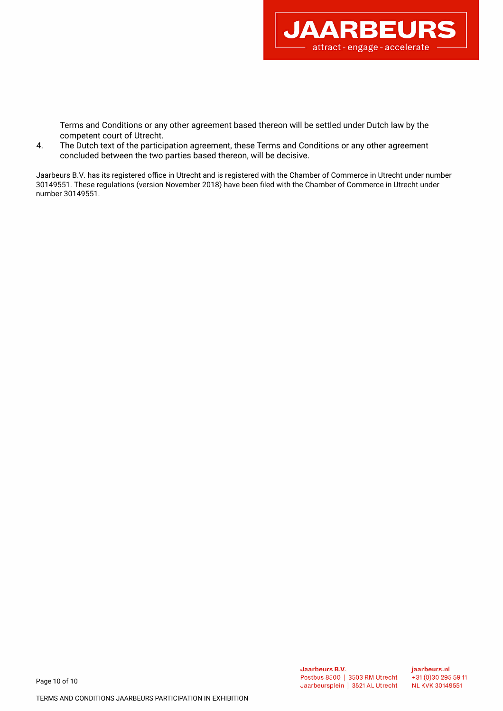

Terms and Conditions or any other agreement based thereon will be settled under Dutch law by the competent court of Utrecht.

4. The Dutch text of the participation agreement, these Terms and Conditions or any other agreement concluded between the two parties based thereon, will be decisive.

Jaarbeurs B.V. has its registered office in Utrecht and is registered with the Chamber of Commerce in Utrecht under number 30149551. These regulations (version November 2018) have been fled with the Chamber of Commerce in Utrecht under number 30149551.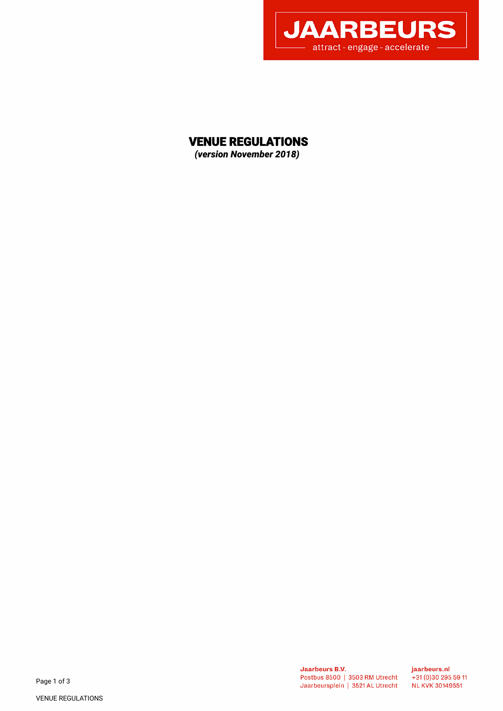

# VENUE REGULATIONS

*(version November 2018)* 

**Jaarbeurs B.V.** Postbus 8500 | 3503 RM Utrecht Jaarbeursplein | 3521 AL Utrecht jaarbeurs.nl  $+31(0)302955911$ **NL KVK 30149551**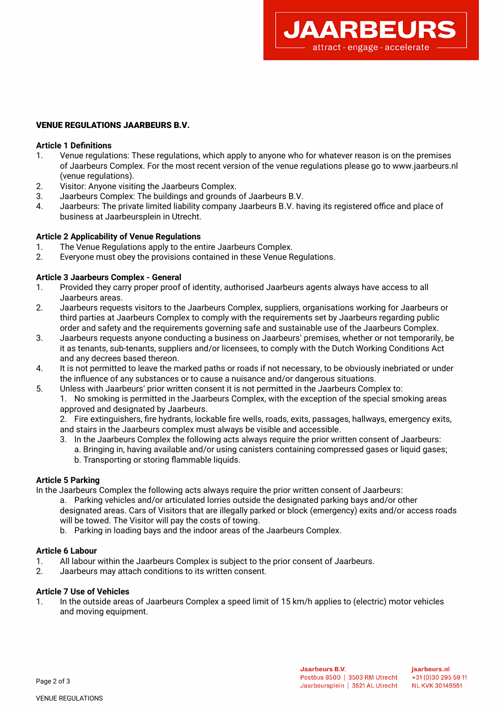

## VENUE REGULATIONS JAARBEURS B.V.

## **Article 1 Defnitions**

- 1. Venue regulations: These regulations, which apply to anyone who for whatever reason is on the premises of Jaarbeurs Complex. For the most recent version of the venue regulations please go to www.jaarbeurs.nl (venue regulations).
- 2. Visitor: Anyone visiting the Jaarbeurs Complex.
- 3. Jaarbeurs Complex: The buildings and grounds of Jaarbeurs B.V.
- 4. Jaarbeurs: The private limited liability company Jaarbeurs B.V. having its registered office and place of business at Jaarbeursplein in Utrecht.

#### **Article 2 Applicability of Venue Regulations**

- 1. The Venue Regulations apply to the entire Jaarbeurs Complex.
- 2. Everyone must obey the provisions contained in these Venue Regulations.

#### **Article 3 Jaarbeurs Complex - General**

- 1. Provided they carry proper proof of identity, authorised Jaarbeurs agents always have access to all Jaarbeurs areas.
- 2. Jaarbeurs requests visitors to the Jaarbeurs Complex, suppliers, organisations working for Jaarbeurs or third parties at Jaarbeurs Complex to comply with the requirements set by Jaarbeurs regarding public order and safety and the requirements governing safe and sustainable use of the Jaarbeurs Complex.
- 3. Jaarbeurs requests anyone conducting a business on Jaarbeurs' premises, whether or not temporarily, be it as tenants, sub-tenants, suppliers and/or licensees, to comply with the Dutch Working Conditions Act and any decrees based thereon.
- 4. It is not permitted to leave the marked paths or roads if not necessary, to be obviously inebriated or under the infuence of any substances or to cause a nuisance and/or dangerous situations.
- 5. Unless with Jaarbeurs' prior written consent it is not permitted in the Jaarbeurs Complex to:

1. No smoking is permitted in the Jaarbeurs Complex, with the exception of the special smoking areas approved and designated by Jaarbeurs.

2. Fire extinguishers, fre hydrants, lockable fre wells, roads, exits, passages, hallways, emergency exits, and stairs in the Jaarbeurs complex must always be visible and accessible.

- 3. In the Jaarbeurs Complex the following acts always require the prior written consent of Jaarbeurs:
	- a. Bringing in, having available and/or using canisters containing compressed gases or liquid gases; b. Transporting or storing fammable liquids.

## **Article 5 Parking**

- In the Jaarbeurs Complex the following acts always require the prior written consent of Jaarbeurs:
	- a. Parking vehicles and/or articulated lorries outside the designated parking bays and/or other designated areas. Cars of Visitors that are illegally parked or block (emergency) exits and/or access roads will be towed. The Visitor will pay the costs of towing.
	- b. Parking in loading bays and the indoor areas of the Jaarbeurs Complex.

#### **Article 6 Labour**

- 1. All labour within the Jaarbeurs Complex is subject to the prior consent of Jaarbeurs.
- 2. Jaarbeurs may attach conditions to its written consent.

#### **Article 7 Use of Vehicles**

1. In the outside areas of Jaarbeurs Complex a speed limit of 15 km/h applies to (electric) motor vehicles and moving equipment.